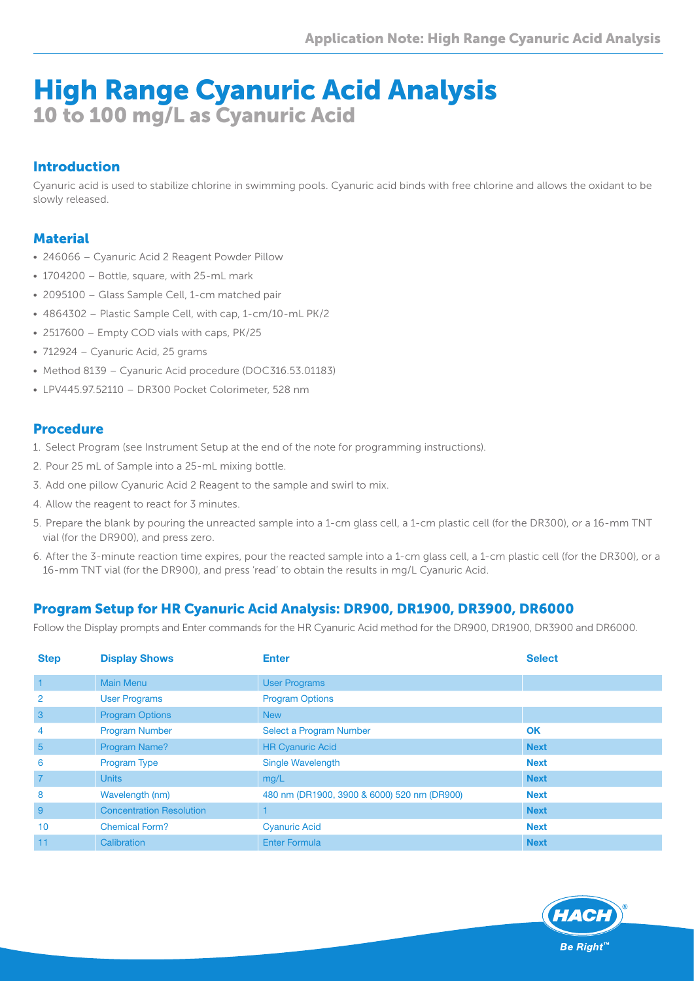# High Range Cyanuric Acid Analysis 10 to 100 mg/L as Cyanuric Acid

## Introduction

Cyanuric acid is used to stabilize chlorine in swimming pools. Cyanuric acid binds with free chlorine and allows the oxidant to be slowly released.

### **Material**

- 246066 Cyanuric Acid 2 Reagent Powder Pillow
- 1704200 Bottle, square, with 25-mL mark
- 2095100 Glass Sample Cell, 1-cm matched pair
- 4864302 Plastic Sample Cell, with cap, 1-cm/10-mL PK/2
- 2517600 Empty COD vials with caps, PK/25
- 712924 Cyanuric Acid, 25 grams
- Method 8139 Cyanuric Acid procedure (DOC316.53.01183)
- LPV445.97.52110 DR300 Pocket Colorimeter, 528 nm

#### Procedure

- 1. Select Program (see Instrument Setup at the end of the note for programming instructions).
- 2. Pour 25 mL of Sample into a 25-mL mixing bottle.
- 3. Add one pillow Cyanuric Acid 2 Reagent to the sample and swirl to mix.
- 4. Allow the reagent to react for 3 minutes.
- 5. Prepare the blank by pouring the unreacted sample into a 1-cm glass cell, a 1-cm plastic cell (for the DR300), or a 16-mm TNT vial (for the DR900), and press zero.
- 6. After the 3-minute reaction time expires, pour the reacted sample into a 1-cm glass cell, a 1-cm plastic cell (for the DR300), or a 16-mm TNT vial (for the DR900), and press 'read' to obtain the results in mg/L Cyanuric Acid.

# Program Setup for HR Cyanuric Acid Analysis: DR900, DR1900, DR3900, DR6000

Follow the Display prompts and Enter commands for the HR Cyanuric Acid method for the DR900, DR1900, DR3900 and DR6000.

| <b>Step</b>     | <b>Display Shows</b>            | <b>Enter</b>                                | <b>Select</b> |
|-----------------|---------------------------------|---------------------------------------------|---------------|
| $\blacksquare$  | <b>Main Menu</b>                | <b>User Programs</b>                        |               |
| $\overline{2}$  | <b>User Programs</b>            | <b>Program Options</b>                      |               |
| 3               | <b>Program Options</b>          | <b>New</b>                                  |               |
| 4               | <b>Program Number</b>           | Select a Program Number                     | OK            |
| $5\overline{)}$ | Program Name?                   | <b>HR Cyanuric Acid</b>                     | <b>Next</b>   |
| 6               | <b>Program Type</b>             | <b>Single Wavelength</b>                    | <b>Next</b>   |
| $\overline{7}$  | <b>Units</b>                    | mg/L                                        | <b>Next</b>   |
| 8               | Wavelength (nm)                 | 480 nm (DR1900, 3900 & 6000) 520 nm (DR900) | <b>Next</b>   |
| 9               | <b>Concentration Resolution</b> |                                             | <b>Next</b>   |
| 10              | <b>Chemical Form?</b>           | <b>Cyanuric Acid</b>                        | <b>Next</b>   |
| 11              | Calibration                     | <b>Enter Formula</b>                        | <b>Next</b>   |